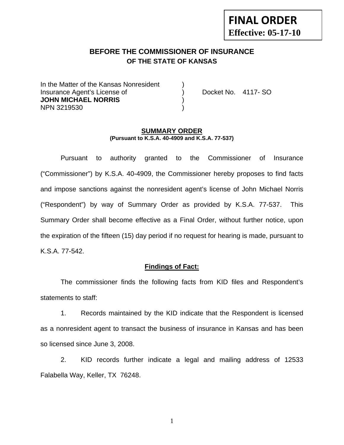# **FINAL ORDER Effective: 05-17-10**

## **BEFORE THE COMMISSIONER OF INSURANCE OF THE STATE OF KANSAS**

In the Matter of the Kansas Nonresident Insurance Agent's License of ) Docket No. 4117- SO **JOHN MICHAEL NORRIS** ) NPN 3219530 )

#### **SUMMARY ORDER (Pursuant to K.S.A. 40-4909 and K.S.A. 77-537)**

 Pursuant to authority granted to the Commissioner of Insurance ("Commissioner") by K.S.A. 40-4909, the Commissioner hereby proposes to find facts and impose sanctions against the nonresident agent's license of John Michael Norris ("Respondent") by way of Summary Order as provided by K.S.A. 77-537. This Summary Order shall become effective as a Final Order, without further notice, upon the expiration of the fifteen (15) day period if no request for hearing is made, pursuant to K.S.A. 77-542.

#### **Findings of Fact:**

 The commissioner finds the following facts from KID files and Respondent's statements to staff:

 1. Records maintained by the KID indicate that the Respondent is licensed as a nonresident agent to transact the business of insurance in Kansas and has been so licensed since June 3, 2008.

 2. KID records further indicate a legal and mailing address of 12533 Falabella Way, Keller, TX 76248.

1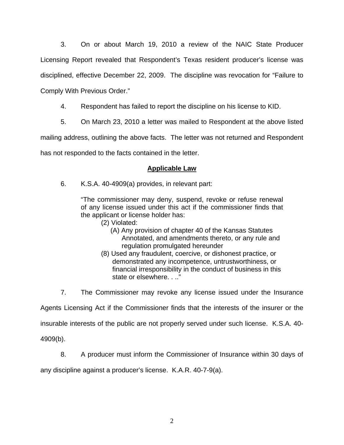3. On or about March 19, 2010 a review of the NAIC State Producer Licensing Report revealed that Respondent's Texas resident producer's license was disciplined, effective December 22, 2009. The discipline was revocation for "Failure to Comply With Previous Order."

- 4. Respondent has failed to report the discipline on his license to KID.
- 5. On March 23, 2010 a letter was mailed to Respondent at the above listed

mailing address, outlining the above facts. The letter was not returned and Respondent

has not responded to the facts contained in the letter.

### **Applicable Law**

6. K.S.A. 40-4909(a) provides, in relevant part:

"The commissioner may deny, suspend, revoke or refuse renewal of any license issued under this act if the commissioner finds that the applicant or license holder has:

- (2) Violated:
	- (A) Any provision of chapter 40 of the Kansas Statutes Annotated, and amendments thereto, or any rule and regulation promulgated hereunder
- (8) Used any fraudulent, coercive, or dishonest practice, or demonstrated any incompetence, untrustworthiness, or financial irresponsibility in the conduct of business in this state or elsewhere. . .."

7. The Commissioner may revoke any license issued under the Insurance

Agents Licensing Act if the Commissioner finds that the interests of the insurer or the

insurable interests of the public are not properly served under such license. K.S.A. 40-

4909(b).

8. A producer must inform the Commissioner of Insurance within 30 days of

any discipline against a producer's license. K.A.R. 40-7-9(a).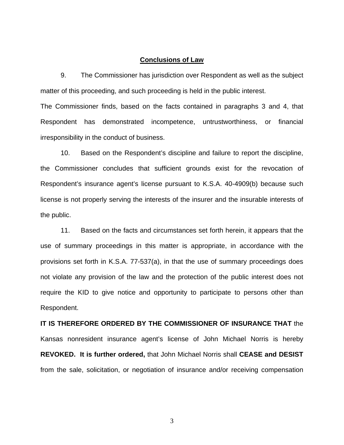#### **Conclusions of Law**

 9. The Commissioner has jurisdiction over Respondent as well as the subject matter of this proceeding, and such proceeding is held in the public interest.

The Commissioner finds, based on the facts contained in paragraphs 3 and 4, that Respondent has demonstrated incompetence, untrustworthiness, or financial irresponsibility in the conduct of business.

 10. Based on the Respondent's discipline and failure to report the discipline, the Commissioner concludes that sufficient grounds exist for the revocation of Respondent's insurance agent's license pursuant to K.S.A. 40-4909(b) because such license is not properly serving the interests of the insurer and the insurable interests of the public.

 11. Based on the facts and circumstances set forth herein, it appears that the use of summary proceedings in this matter is appropriate, in accordance with the provisions set forth in K.S.A. 77-537(a), in that the use of summary proceedings does not violate any provision of the law and the protection of the public interest does not require the KID to give notice and opportunity to participate to persons other than Respondent.

**IT IS THEREFORE ORDERED BY THE COMMISSIONER OF INSURANCE THAT** the Kansas nonresident insurance agent's license of John Michael Norris is hereby **REVOKED. It is further ordered,** that John Michael Norris shall **CEASE and DESIST** from the sale, solicitation, or negotiation of insurance and/or receiving compensation

3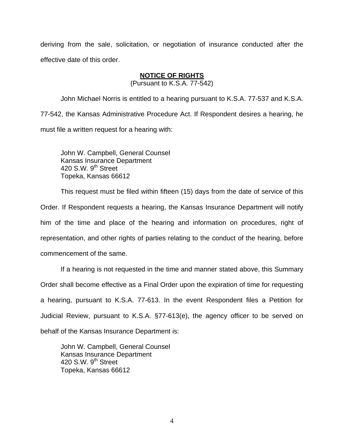deriving from the sale, solicitation, or negotiation of insurance conducted after the effective date of this order.

### **NOTICE OF RIGHTS**

(Pursuant to K.S.A. 77-542)

John Michael Norris is entitled to a hearing pursuant to K.S.A. 77-537 and K.S.A. 77-542, the Kansas Administrative Procedure Act. If Respondent desires a hearing, he must file a written request for a hearing with:

 John W. Campbell, General Counsel Kansas Insurance Department 420 S.W.  $9<sup>th</sup>$  Street Topeka, Kansas 66612

This request must be filed within fifteen (15) days from the date of service of this Order. If Respondent requests a hearing, the Kansas Insurance Department will notify him of the time and place of the hearing and information on procedures, right of representation, and other rights of parties relating to the conduct of the hearing, before commencement of the same.

If a hearing is not requested in the time and manner stated above, this Summary Order shall become effective as a Final Order upon the expiration of time for requesting a hearing, pursuant to K.S.A. 77-613. In the event Respondent files a Petition for Judicial Review, pursuant to K.S.A. §77-613(e), the agency officer to be served on behalf of the Kansas Insurance Department is:

 John W. Campbell, General Counsel Kansas Insurance Department 420 S.W. 9<sup>th</sup> Street Topeka, Kansas 66612